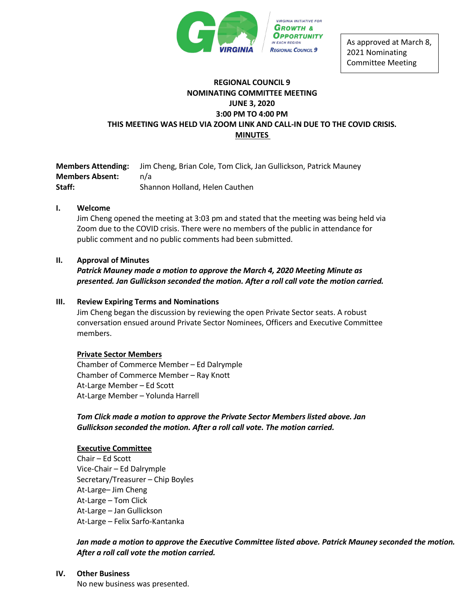

As approved at March 8, 2021 Nominating Committee Meeting

## **REGIONAL COUNCIL 9 NOMINATING COMMITTEE MEETING JUNE 3, 2020 3:00 PM TO 4:00 PM THIS MEETING WAS HELD VIA ZOOM LINK AND CALL-IN DUE TO THE COVID CRISIS. MINUTES**

**Members Attending:** Jim Cheng, Brian Cole, Tom Click, Jan Gullickson, Patrick Mauney **Members Absent:** n/a **Staff:** Shannon Holland, Helen Cauthen

## **I. Welcome**

Jim Cheng opened the meeting at 3:03 pm and stated that the meeting was being held via Zoom due to the COVID crisis. There were no members of the public in attendance for public comment and no public comments had been submitted.

## **II. Approval of Minutes**

*Patrick Mauney made a motion to approve the March 4, 2020 Meeting Minute as presented. Jan Gullickson seconded the motion. After a roll call vote the motion carried.*

## **III. Review Expiring Terms and Nominations**

Jim Cheng began the discussion by reviewing the open Private Sector seats. A robust conversation ensued around Private Sector Nominees, Officers and Executive Committee members.

#### **Private Sector Members**

Chamber of Commerce Member – Ed Dalrymple Chamber of Commerce Member – Ray Knott At-Large Member – Ed Scott At-Large Member – Yolunda Harrell

*Tom Click made a motion to approve the Private Sector Members listed above. Jan Gullickson seconded the motion. After a roll call vote. The motion carried.* 

#### **Executive Committee**

Chair – Ed Scott Vice-Chair – Ed Dalrymple Secretary/Treasurer – Chip Boyles At-Large– Jim Cheng At-Large – Tom Click At-Large – Jan Gullickson At-Large – Felix Sarfo-Kantanka

*Jan made a motion to approve the Executive Committee listed above. Patrick Mauney seconded the motion. After a roll call vote the motion carried.* 

#### **IV. Other Business**

No new business was presented.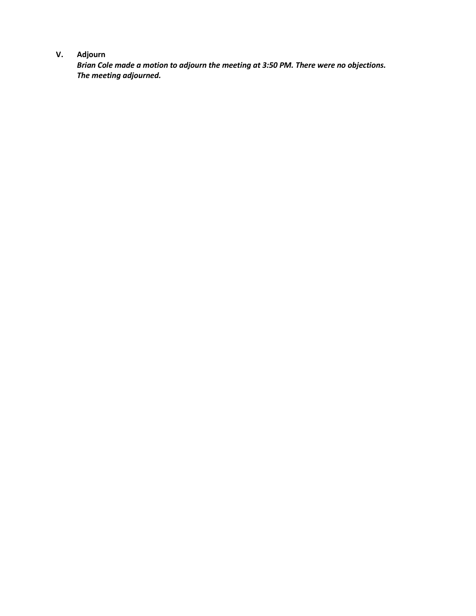# **V. Adjourn**

*Brian Cole made a motion to adjourn the meeting at 3:50 PM. There were no objections. The meeting adjourned.*